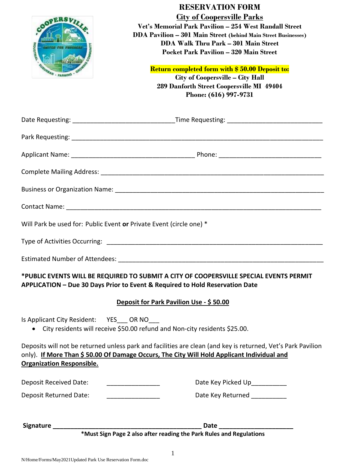| <b>MDUSTRIA</b><br>to ros paul<br>ROAN - FARMING | <b>RESERVATION FORM</b><br><b>City of Coopersville Parks</b><br>Vet's Memorial Park Pavilion - 254 West Randall Street<br><b>DDA Pavilion - 301 Main Street (behind Main Street Businesses)</b><br><b>DDA Walk Thru Park - 301 Main Street</b><br><b>Pocket Park Pavilion - 320 Main Street</b><br><b>Return completed form with \$50.00 Deposit to:</b><br>City of Coopersville - City Hall<br>289 Danforth Street Coopersville MI 49404<br>Phone: (616) 997-9731 |
|--------------------------------------------------|--------------------------------------------------------------------------------------------------------------------------------------------------------------------------------------------------------------------------------------------------------------------------------------------------------------------------------------------------------------------------------------------------------------------------------------------------------------------|
|                                                  | Date Requesting: __________________________________Time Requesting: ________________________________                                                                                                                                                                                                                                                                                                                                                               |
|                                                  |                                                                                                                                                                                                                                                                                                                                                                                                                                                                    |
|                                                  |                                                                                                                                                                                                                                                                                                                                                                                                                                                                    |
|                                                  |                                                                                                                                                                                                                                                                                                                                                                                                                                                                    |
|                                                  |                                                                                                                                                                                                                                                                                                                                                                                                                                                                    |
|                                                  |                                                                                                                                                                                                                                                                                                                                                                                                                                                                    |
|                                                  | Will Park be used for: Public Event or Private Event (circle one) *                                                                                                                                                                                                                                                                                                                                                                                                |
|                                                  |                                                                                                                                                                                                                                                                                                                                                                                                                                                                    |
|                                                  |                                                                                                                                                                                                                                                                                                                                                                                                                                                                    |
|                                                  | *PUBLIC EVENTS WILL BE REQUIRED TO SUBMIT A CITY OF COOPERSVILLE SPECIAL EVENTS PERMIT<br>APPLICATION - Due 30 Days Prior to Event & Required to Hold Reservation Date<br>Deposit for Park Pavilion Use - \$50.00                                                                                                                                                                                                                                                  |
| Is Applicant City Resident: YES OR NO            | City residents will receive \$50.00 refund and Non-city residents \$25.00.                                                                                                                                                                                                                                                                                                                                                                                         |
| <b>Organization Responsible.</b>                 | Deposits will not be returned unless park and facilities are clean (and key is returned, Vet's Park Pavilion<br>only). If More Than \$50.00 Of Damage Occurs, The City Will Hold Applicant Individual and                                                                                                                                                                                                                                                          |
| Deposit Received Date:                           | Date Key Picked Up__________                                                                                                                                                                                                                                                                                                                                                                                                                                       |
| Deposit Returned Date:                           | Date Key Returned __________                                                                                                                                                                                                                                                                                                                                                                                                                                       |
|                                                  | Date __________________<br>*Must Sign Page 2 also after reading the Park Rules and Regulations                                                                                                                                                                                                                                                                                                                                                                     |